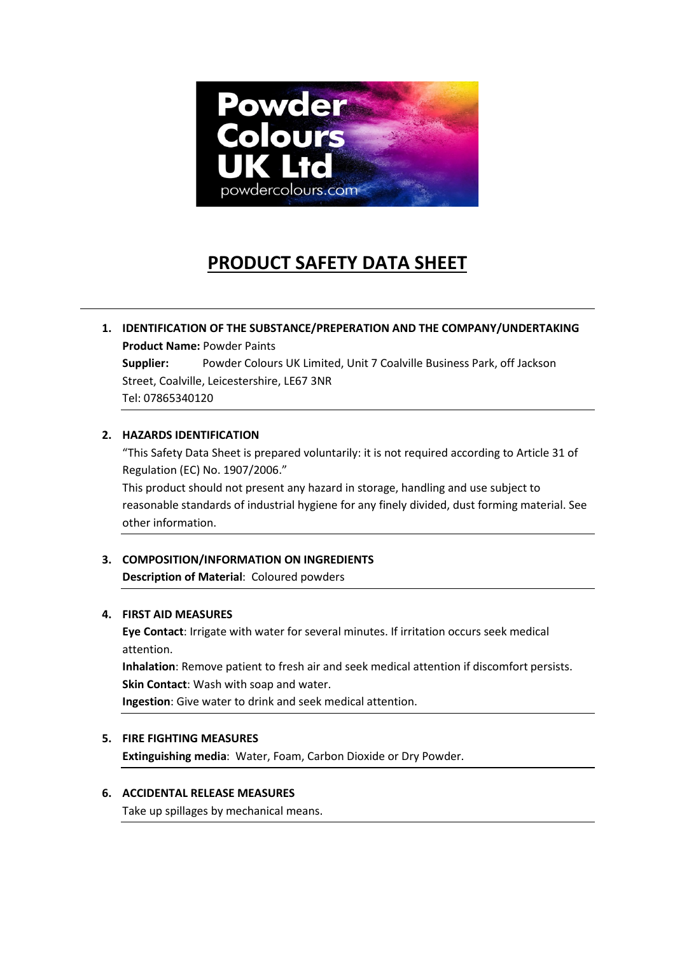

# **PRODUCT SAFETY DATA SHEET**

**1. IDENTIFICATION OF THE SUBSTANCE/PREPERATION AND THE COMPANY/UNDERTAKING Product Name:** Powder Paints **Supplier:** Powder Colours UK Limited, Unit 7 Coalville Business Park, off Jackson Street, Coalville, Leicestershire, LE67 3NR Tel: 07865340120

## **2. HAZARDS IDENTIFICATION**

"This Safety Data Sheet is prepared voluntarily: it is not required according to Article 31 of Regulation (EC) No. 1907/2006."

This product should not present any hazard in storage, handling and use subject to reasonable standards of industrial hygiene for any finely divided, dust forming material. See other information.

## **3. COMPOSITION/INFORMATION ON INGREDIENTS Description of Material**: Coloured powders

## **4. FIRST AID MEASURES**

**Eye Contact**: Irrigate with water for several minutes. If irritation occurs seek medical attention.

**Inhalation**: Remove patient to fresh air and seek medical attention if discomfort persists. **Skin Contact**: Wash with soap and water.

**Ingestion**: Give water to drink and seek medical attention.

## **5. FIRE FIGHTING MEASURES**

**Extinguishing media**: Water, Foam, Carbon Dioxide or Dry Powder.

### **6. ACCIDENTAL RELEASE MEASURES**

Take up spillages by mechanical means.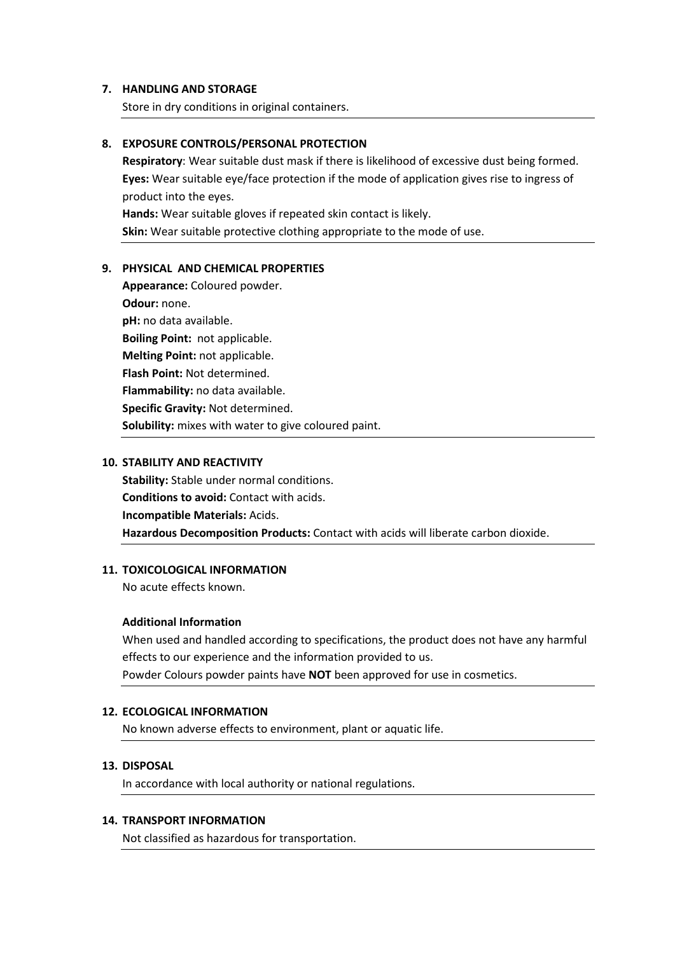#### **7. HANDLING AND STORAGE**

Store in dry conditions in original containers.

## **8. EXPOSURE CONTROLS/PERSONAL PROTECTION**

**Respiratory**: Wear suitable dust mask if there is likelihood of excessive dust being formed. **Eyes:** Wear suitable eye/face protection if the mode of application gives rise to ingress of product into the eyes.

**Hands:** Wear suitable gloves if repeated skin contact is likely.

**Skin:** Wear suitable protective clothing appropriate to the mode of use.

#### **9. PHYSICAL AND CHEMICAL PROPERTIES**

**Appearance:** Coloured powder. **Odour:** none. **pH:** no data available. **Boiling Point:** not applicable. **Melting Point:** not applicable. **Flash Point:** Not determined. **Flammability:** no data available. **Specific Gravity:** Not determined. **Solubility:** mixes with water to give coloured paint.

#### **10. STABILITY AND REACTIVITY**

**Stability:** Stable under normal conditions. **Conditions to avoid:** Contact with acids. **Incompatible Materials:** Acids. **Hazardous Decomposition Products:** Contact with acids will liberate carbon dioxide.

#### **11. TOXICOLOGICAL INFORMATION**

No acute effects known.

#### **Additional Information**

When used and handled according to specifications, the product does not have any harmful effects to our experience and the information provided to us. Powder Colours powder paints have **NOT** been approved for use in cosmetics.

#### **12. ECOLOGICAL INFORMATION**

No known adverse effects to environment, plant or aquatic life.

#### **13. DISPOSAL**

In accordance with local authority or national regulations.

#### **14. TRANSPORT INFORMATION**

Not classified as hazardous for transportation.